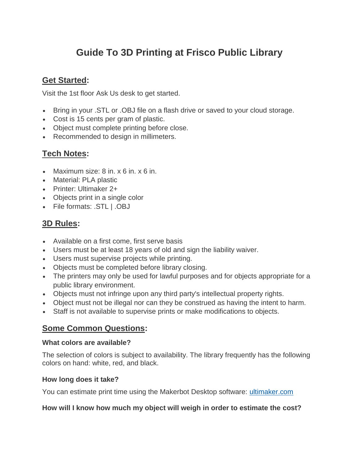# **Guide To 3D Printing at Frisco Public Library**

# **Get Started:**

Visit the 1st floor Ask Us desk to get started.

- Bring in your .STL or .OBJ file on a flash drive or saved to your cloud storage.
- Cost is 15 cents per gram of plastic.
- Object must complete printing before close.
- Recommended to design in millimeters.

# **Tech Notes:**

- Maximum size: 8 in. x 6 in. x 6 in.
- Material: PLA plastic
- Printer: Ultimaker 2+
- Objects print in a single color
- File formats: .STL | .OBJ

# **3D Rules:**

- Available on a first come, first serve basis
- Users must be at least 18 years of old and sign the liability waiver.
- Users must supervise projects while printing.
- Objects must be completed before library closing.
- The printers may only be used for lawful purposes and for objects appropriate for a public library environment.
- Objects must not infringe upon any third party's intellectual property rights.
- Object must not be illegal nor can they be construed as having the intent to harm.
- Staff is not available to supervise prints or make modifications to objects.

### **Some Common Questions:**

#### **What colors are available?**

The selection of colors is subject to availability. The library frequently has the following colors on hand: white, red, and black.

#### **How long does it take?**

You can estimate print time using the Makerbot Desktop software: [ultimaker.com](https://ultimaker.com/en/products/cura-software)

#### **How will I know how much my object will weigh in order to estimate the cost?**